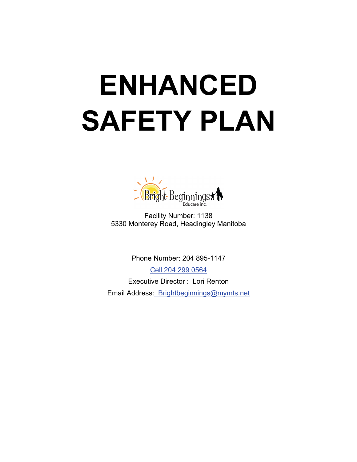# **ENHANCED SAFETY PLAN**



Facility Number: 1138 5330 Monterey Road, Headingley Manitoba

Phone Number: 204 895-1147 Cell 204 299 0564 Executive Director : Lori Renton Email Address: Brightbeginnings@mymts.net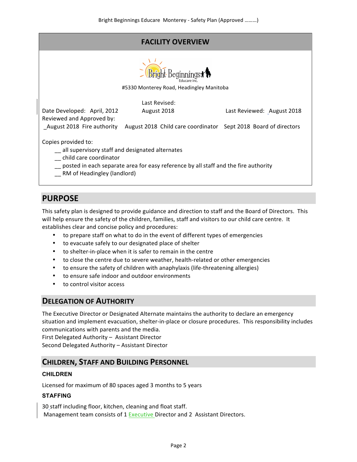# **FACILITY OVERVIEW**



#5330 Monterey Road, Headingley Manitoba

Date Developed: April, 2012 Last Revised: August 2018 **Last Reviewed:** August 2018 Reviewed and Approved by: \_August 2018 Fire authority August 2018 Child care coordinator Sept 2018 Board of directors Copies provided to:  $-$  all supervisory staff and designated alternates \_ child care coordinator  $\_\_$  posted in each separate area for easy reference by all staff and the fire authority \_\_ RM of Headingley (landlord)

# **PURPOSE**

This safety plan is designed to provide guidance and direction to staff and the Board of Directors. This will help ensure the safety of the children, families, staff and visitors to our child care centre. It establishes clear and concise policy and procedures:

- to prepare staff on what to do in the event of different types of emergencies
- to evacuate safely to our designated place of shelter
- to shelter-in-place when it is safer to remain in the centre
- to close the centre due to severe weather, health-related or other emergencies
- to ensure the safety of children with anaphylaxis (life-threatening allergies)
- to ensure safe indoor and outdoor environments
- to control visitor access

# **DELEGATION OF AUTHORITY**

The Executive Director or Designated Alternate maintains the authority to declare an emergency situation and implement evacuation, shelter-in-place or closure procedures. This responsibility includes communications with parents and the media.

First Delegated Authority - Assistant Director

Second Delegated Authority - Assistant Director

# **CHILDREN, STAFF AND BUILDING PERSONNEL**

## **CHILDREN**

Licensed for maximum of 80 spaces aged 3 months to 5 years

## **STAFFING**

30 staff including floor, kitchen, cleaning and float staff. Management team consists of 1 Executive Director and 2 Assistant Directors.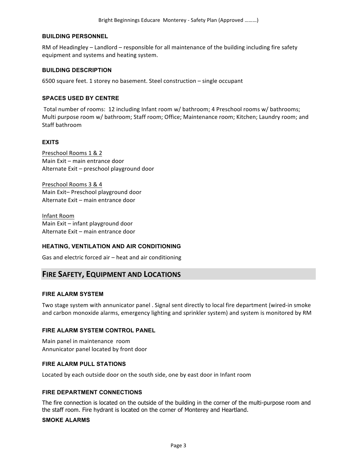#### **BUILDING PERSONNEL**

RM of Headingley – Landlord – responsible for all maintenance of the building including fire safety equipment and systems and heating system.

#### **BUILDING DESCRIPTION**

6500 square feet. 1 storey no basement. Steel construction – single occupant

#### **SPACES USED BY CENTRE**

Total number of rooms: 12 including Infant room w/ bathroom; 4 Preschool rooms w/ bathrooms; Multi purpose room w/ bathroom; Staff room; Office; Maintenance room; Kitchen; Laundry room; and Staff bathroom

#### **EXITS**

Preschool Rooms 1 & 2 Main Exit – main entrance door Alternate Exit - preschool playground door

Preschool Rooms 3 & 4 Main Exit-Preschool playground door Alternate Exit – main entrance door

Infant Room Main  $Exit - infant$  playground door Alternate Exit - main entrance door

#### **HEATING, VENTILATION AND AIR CONDITIONING**

Gas and electric forced air  $-$  heat and air conditioning

## **FIRE SAFETY, EQUIPMENT AND LOCATIONS**

#### **FIRE ALARM SYSTEM**

Two stage system with annunicator panel . Signal sent directly to local fire department (wired-in smoke and carbon monoxide alarms, emergency lighting and sprinkler system) and system is monitored by RM

#### **FIRE ALARM SYSTEM CONTROL PANEL**

Main panel in maintenance room Annunicator panel located by front door

#### **FIRE ALARM PULL STATIONS**

Located by each outside door on the south side, one by east door in Infant room

#### **FIRE DEPARTMENT CONNECTIONS**

The fire connection is located on the outside of the building in the corner of the multi-purpose room and the staff room. Fire hydrant is located on the corner of Monterey and Heartland.

#### **SMOKE ALARMS**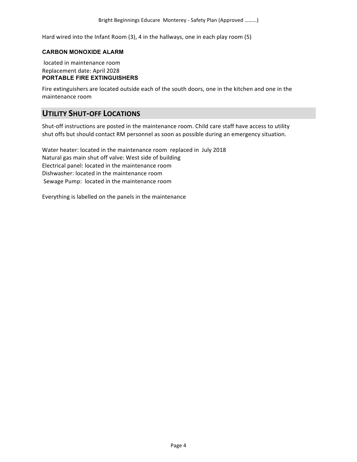Hard wired into the Infant Room  $(3)$ , 4 in the hallways, one in each play room  $(5)$ 

#### **CARBON MONOXIDE ALARM**

located in maintenance room Replacement date: April 2028 **PORTABLE FIRE EXTINGUISHERS**

Fire extinguishers are located outside each of the south doors, one in the kitchen and one in the maintenance room

## **UTILITY SHUT-OFF LOCATIONS**

Shut-off instructions are posted in the maintenance room. Child care staff have access to utility shut offs but should contact RM personnel as soon as possible during an emergency situation.

Water heater: located in the maintenance room replaced in July 2018 Natural gas main shut off valve: West side of building Electrical panel: located in the maintenance room Dishwasher: located in the maintenance room Sewage Pump: located in the maintenance room

Everything is labelled on the panels in the maintenance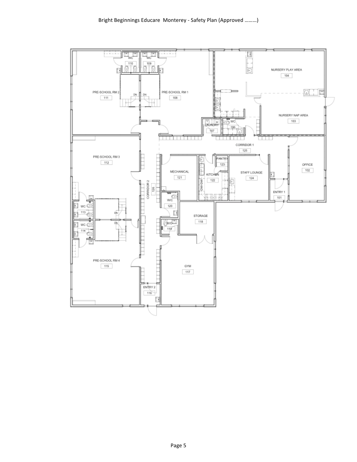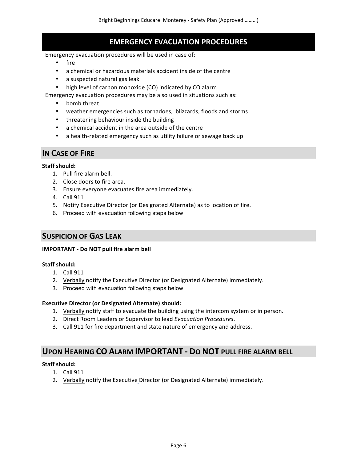# **EMERGENCY EVACUATION PROCEDURES**

Emergency evacuation procedures will be used in case of:

- fire
- a chemical or hazardous materials accident inside of the centre
- a suspected natural gas leak
- high level of carbon monoxide (CO) indicated by CO alarm

Emergency evacuation procedures may be also used in situations such as:

- bomb threat
- weather emergencies such as tornadoes, blizzards, floods and storms
- threatening behaviour inside the building
- a chemical accident in the area outside of the centre
- a health-related emergency such as utility failure or sewage back up

## **IN CASE OF FIRE**

#### **Staff should:**

- 1. Pull fire alarm bell.
- 2. Close doors to fire area.
- 3. Ensure everyone evacuates fire area immediately.
- 4. Call 911
- 5. Notify Executive Director (or Designated Alternate) as to location of fire.
- 6. Proceed with evacuation following steps below.

## **SUSPICION OF GAS LEAK**

#### **IMPORTANT - Do NOT pull fire alarm bell**

## **Staff should:**

- 1. Call 911
- 2. Verbally notify the Executive Director (or Designated Alternate) immediately.
- 3. Proceed with evacuation following steps below.

#### **Executive Director (or Designated Alternate) should:**

- 1. Verbally notify staff to evacuate the building using the intercom system or in person.
- 2. Direct Room Leaders or Supervisor to lead *Evacuation Procedures*.
- 3. Call 911 for fire department and state nature of emergency and address.

## **UPON HEARING CO ALARM IMPORTANT - DO NOT PULL FIRE ALARM BELL**

#### Staff should:

- 1. Call 911
- 2. Verbally notify the Executive Director (or Designated Alternate) immediately.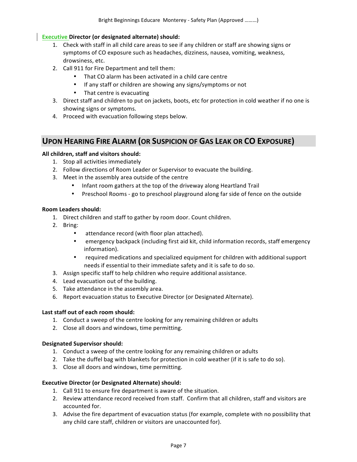## **Executive Director (or designated alternate) should:**

- 1. Check with staff in all child care areas to see if any children or staff are showing signs or symptoms of CO exposure such as headaches, dizziness, nausea, vomiting, weakness, drowsiness, etc.
- 2. Call 911 for Fire Department and tell them:
	- That CO alarm has been activated in a child care centre
	- If any staff or children are showing any signs/symptoms or not
	- That centre is evacuating
- 3. Direct staff and children to put on jackets, boots, etc for protection in cold weather if no one is showing signs or symptoms.
- 4. Proceed with evacuation following steps below.

# **UPON HEARING FIRE ALARM (OR SUSPICION OF GAS LEAK OR CO EXPOSURE)**

## All children, staff and visitors should:

- 1. Stop all activities immediately
- 2. Follow directions of Room Leader or Supervisor to evacuate the building.
- 3. Meet in the assembly area outside of the centre
	- Infant room gathers at the top of the driveway along Heartland Trail
	- Preschool Rooms go to preschool playground along far side of fence on the outside

#### **Room Leaders should:**

- 1. Direct children and staff to gather by room door. Count children.
- 2. Bring:
	- attendance record (with floor plan attached).
	- emergency backpack (including first aid kit, child information records, staff emergency information).
	- required medications and specialized equipment for children with additional support needs if essential to their immediate safety and it is safe to do so.
- 3. Assign specific staff to help children who require additional assistance.
- 4. Lead evacuation out of the building.
- 5. Take attendance in the assembly area.
- 6. Report evacuation status to Executive Director (or Designated Alternate).

## Last staff out of each room should:

- 1. Conduct a sweep of the centre looking for any remaining children or adults
- 2. Close all doors and windows, time permitting.

## **Designated Supervisor should:**

- 1. Conduct a sweep of the centre looking for any remaining children or adults
- 2. Take the duffel bag with blankets for protection in cold weather (if it is safe to do so).
- 3. Close all doors and windows, time permitting.

## **Executive Director (or Designated Alternate) should:**

- 1. Call 911 to ensure fire department is aware of the situation.
- 2. Review attendance record received from staff. Confirm that all children, staff and visitors are accounted for.
- 3. Advise the fire department of evacuation status (for example, complete with no possibility that any child care staff, children or visitors are unaccounted for).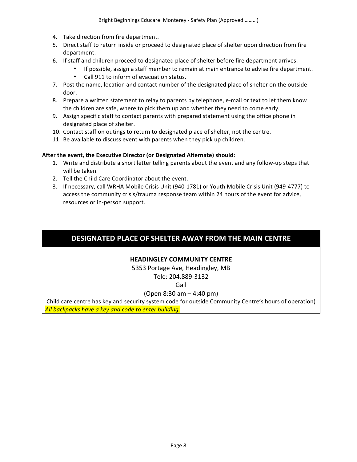- 4. Take direction from fire department.
- 5. Direct staff to return inside or proceed to designated place of shelter upon direction from fire department.
- 6. If staff and children proceed to designated place of shelter before fire department arrives:
	- If possible, assign a staff member to remain at main entrance to advise fire department.
	- Call 911 to inform of evacuation status.
- 7. Post the name, location and contact number of the designated place of shelter on the outside door.
- 8. Prepare a written statement to relay to parents by telephone, e-mail or text to let them know the children are safe, where to pick them up and whether they need to come early.
- 9. Assign specific staff to contact parents with prepared statement using the office phone in designated place of shelter.
- 10. Contact staff on outings to return to designated place of shelter, not the centre.
- 11. Be available to discuss event with parents when they pick up children.

## **After the event, the Executive Director (or Designated Alternate) should:**

- 1. Write and distribute a short letter telling parents about the event and any follow-up steps that will be taken.
- 2. Tell the Child Care Coordinator about the event.
- 3. If necessary, call WRHA Mobile Crisis Unit (940-1781) or Youth Mobile Crisis Unit (949-4777) to access the community crisis/trauma response team within 24 hours of the event for advice, resources or in-person support.

# **DESIGNATED PLACE OF SHELTER AWAY FROM THE MAIN CENTRE**

## **HEADINGLEY COMMUNITY CENTRE**

5353 Portage Ave, Headingley, MB Tele: 204.889-3132

Gail

## (Open  $8:30$  am  $-$  4:40 pm)

Child care centre has key and security system code for outside Community Centre's hours of operation) All backpacks have a key and code to enter building.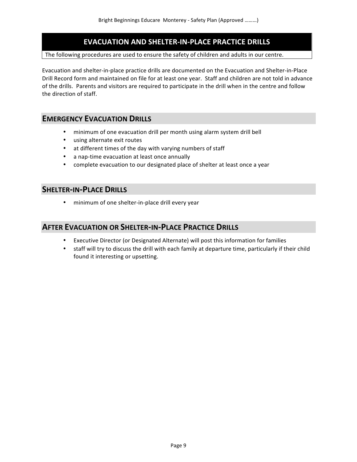# **EVACUATION AND SHELTER-IN-PLACE PRACTICE DRILLS**

#### The following procedures are used to ensure the safety of children and adults in our centre.

Evacuation and shelter-in-place practice drills are documented on the Evacuation and Shelter-in-Place Drill Record form and maintained on file for at least one year. Staff and children are not told in advance of the drills. Parents and visitors are required to participate in the drill when in the centre and follow the direction of staff.

## **EMERGENCY EVACUATION DRILLS**

- minimum of one evacuation drill per month using alarm system drill bell
- using alternate exit routes
- at different times of the day with varying numbers of staff
- a nap-time evacuation at least once annually
- complete evacuation to our designated place of shelter at least once a year

## **SHELTER-IN-PLACE DRILLS**

• minimum of one shelter-in-place drill every year

## **AFTER EVACUATION OR SHELTER-IN-PLACE PRACTICE DRILLS**

- Executive Director (or Designated Alternate) will post this information for families
- staff will try to discuss the drill with each family at departure time, particularly if their child found it interesting or upsetting.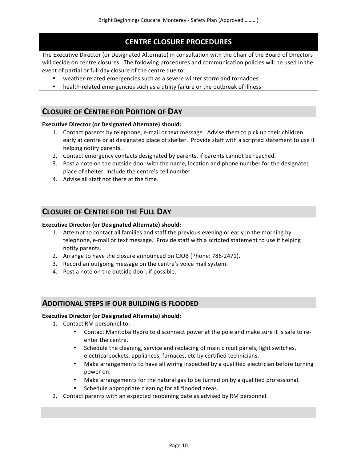# **CENTRE CLOSURE PROCEDURES**

The Executive Director (or Designated Alternate) in consultation with the Chair of the Board of Directors will decide on centre closures. The following procedures and communication policies will be used in the event of partial or full day closure of the centre due to:

- weather-related emergencies such as a severe winter storm and tornadoes
- health-related emergencies such as a utility failure or the outbreak of illness

# **CLOSURE OF CENTRE FOR PORTION OF DAY**

## **Executive Director (or Designated Alternate) should:**

- 1. Contact parents by telephone, e-mail or text message. Advise them to pick up their children early at centre or at designated place of shelter. Provide staff with a scripted statement to use if helping notify parents.
- 2. Contact emergency contacts designated by parents, if parents cannot be reached.
- 3. Post a note on the outside door with the name, location and phone number for the designated place of shelter. Include the centre's cell number.
- 4. Advise all staff not there at the time.

## **CLOSURE OF CENTRE FOR THE FULL DAY**

#### **Executive Director (or Designated Alternate) should:**

- 1. Attempt to contact all families and staff the previous evening or early in the morning by telephone, e-mail or text message. Provide staff with a scripted statement to use if helping notify parents.
- 2. Arrange to have the closure announced on CJOB (Phone: 786-2471).
- 3. Record an outgoing message on the centre's voice mail system.
- 4. Post a note on the outside door, if possible.

## **ADDITIONAL STEPS IF OUR BUILDING IS FLOODED**

#### **Executive Director (or Designated Alternate) should:**

- 1. Contact RM personnel to:
	- Contact Manitoba Hydro to disconnect power at the pole and make sure it is safe to reenter the centre.
	- Schedule the cleaning, service and replacing of main circuit panels, light switches, electrical sockets, appliances, furnaces, etc by certified technicians.
	- Make arrangements to have all wiring inspected by a qualified electrician before turning power on.
	- Make arrangements for the natural gas to be turned on by a qualified professional.
	- Schedule appropriate cleaning for all flooded areas.
- 2. Contact parents with an expected reopening date as advised by RM personnel.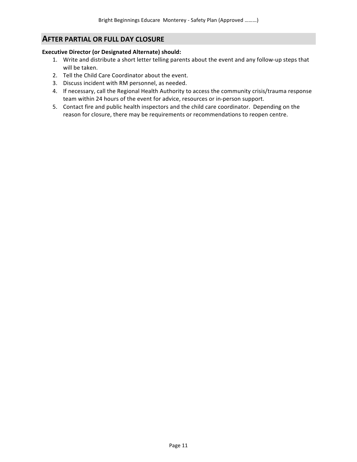# **AFTER PARTIAL OR FULL DAY CLOSURE**

## **Executive Director (or Designated Alternate) should:**

- 1. Write and distribute a short letter telling parents about the event and any follow-up steps that will be taken.
- 2. Tell the Child Care Coordinator about the event.
- 3. Discuss incident with RM personnel, as needed.
- 4. If necessary, call the Regional Health Authority to access the community crisis/trauma response team within 24 hours of the event for advice, resources or in-person support.
- 5. Contact fire and public health inspectors and the child care coordinator. Depending on the reason for closure, there may be requirements or recommendations to reopen centre.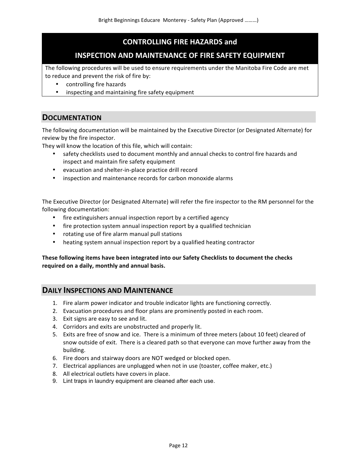# **CONTROLLING FIRE HAZARDS and**

# **INSPECTION AND MAINTENANCE OF FIRE SAFETY EQUIPMENT**

The following procedures will be used to ensure requirements under the Manitoba Fire Code are met to reduce and prevent the risk of fire by:

- controlling fire hazards
- inspecting and maintaining fire safety equipment

# **DOCUMENTATION**

The following documentation will be maintained by the Executive Director (or Designated Alternate) for review by the fire inspector.

They will know the location of this file, which will contain:

- safety checklists used to document monthly and annual checks to control fire hazards and inspect and maintain fire safety equipment
- evacuation and shelter-in-place practice drill record
- inspection and maintenance records for carbon monoxide alarms

The Executive Director (or Designated Alternate) will refer the fire inspector to the RM personnel for the following documentation:

- fire extinguishers annual inspection report by a certified agency
- fire protection system annual inspection report by a qualified technician
- rotating use of fire alarm manual pull stations
- heating system annual inspection report by a qualified heating contractor

## These following items have been integrated into our Safety Checklists to document the checks required on a daily, monthly and annual basis.

## **DAILY INSPECTIONS AND MAINTENANCE**

- 1. Fire alarm power indicator and trouble indicator lights are functioning correctly.
- 2. Evacuation procedures and floor plans are prominently posted in each room.
- 3. Exit signs are easy to see and lit.
- 4. Corridors and exits are unobstructed and properly lit.
- 5. Exits are free of snow and ice. There is a minimum of three meters (about 10 feet) cleared of snow outside of exit. There is a cleared path so that everyone can move further away from the building.
- 6. Fire doors and stairway doors are NOT wedged or blocked open.
- 7. Electrical appliances are unplugged when not in use (toaster, coffee maker, etc.)
- 8. All electrical outlets have covers in place.
- 9. Lint traps in laundry equipment are cleaned after each use.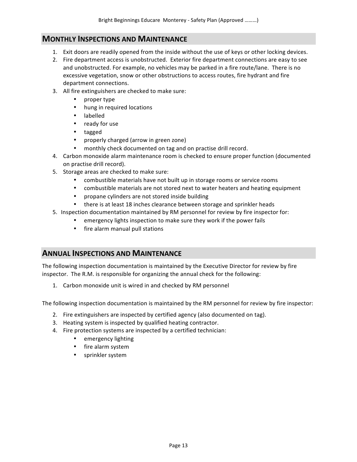## **MONTHLY INSPECTIONS AND MAINTENANCE**

- 1. Exit doors are readily opened from the inside without the use of keys or other locking devices.
- 2. Fire department access is unobstructed. Exterior fire department connections are easy to see and unobstructed. For example, no vehicles may be parked in a fire route/lane. There is no excessive vegetation, snow or other obstructions to access routes, fire hydrant and fire department connections.
- 3. All fire extinguishers are checked to make sure:
	- proper type
	- hung in required locations
	- labelled
	- ready for use
	- tagged
	- properly charged (arrow in green zone)
	- monthly check documented on tag and on practise drill record.
- 4. Carbon monoxide alarm maintenance room is checked to ensure proper function (documented on practise drill record).
- 5. Storage areas are checked to make sure:
	- combustible materials have not built up in storage rooms or service rooms
	- combustible materials are not stored next to water heaters and heating equipment
	- propane cylinders are not stored inside building
	- there is at least 18 inches clearance between storage and sprinkler heads
- 5. Inspection documentation maintained by RM personnel for review by fire inspector for:
	- emergency lights inspection to make sure they work if the power fails
	- fire alarm manual pull stations

## **ANNUAL INSPECTIONS AND MAINTENANCE**

The following inspection documentation is maintained by the Executive Director for review by fire inspector. The R.M. is responsible for organizing the annual check for the following:

1. Carbon monoxide unit is wired in and checked by RM personnel

The following inspection documentation is maintained by the RM personnel for review by fire inspector:

- 2. Fire extinguishers are inspected by certified agency (also documented on tag).
- 3. Heating system is inspected by qualified heating contractor.
- 4. Fire protection systems are inspected by a certified technician:
	- emergency lighting
	- fire alarm system
	- sprinkler system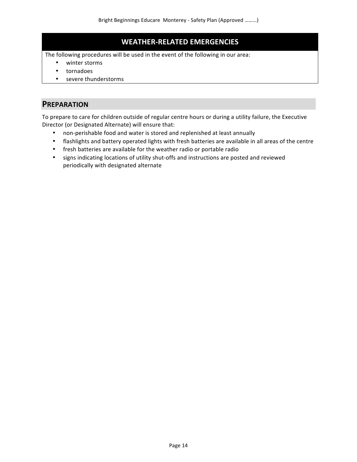# **WEATHER-RELATED EMERGENCIES**

The following procedures will be used in the event of the following in our area:

- winter storms
- tornadoes
- severe thunderstorms

## **PREPARATION**

To prepare to care for children outside of regular centre hours or during a utility failure, the Executive Director (or Designated Alternate) will ensure that:

- non-perishable food and water is stored and replenished at least annually
- flashlights and battery operated lights with fresh batteries are available in all areas of the centre
- fresh batteries are available for the weather radio or portable radio
- signs indicating locations of utility shut-offs and instructions are posted and reviewed periodically with designated alternate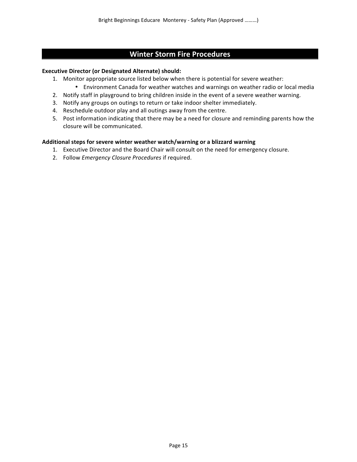# **Winter Storm Fire Procedures**

#### **Executive Director (or Designated Alternate) should:**

- 1. Monitor appropriate source listed below when there is potential for severe weather:
	- Environment Canada for weather watches and warnings on weather radio or local media
- 2. Notify staff in playground to bring children inside in the event of a severe weather warning.
- 3. Notify any groups on outings to return or take indoor shelter immediately.
- 4. Reschedule outdoor play and all outings away from the centre.
- 5. Post information indicating that there may be a need for closure and reminding parents how the closure will be communicated.

#### Additional steps for severe winter weather watch/warning or a blizzard warning

- 1. Executive Director and the Board Chair will consult on the need for emergency closure.
- 2. Follow *Emergency Closure Procedures* if required.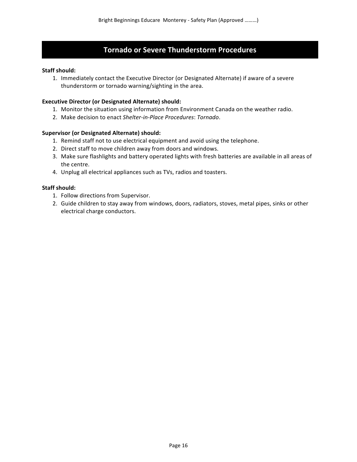## **Tornado or Severe Thunderstorm Procedures**

#### **Staff should:**

1. Immediately contact the Executive Director (or Designated Alternate) if aware of a severe thunderstorm or tornado warning/sighting in the area.

#### **Executive Director (or Designated Alternate) should:**

- 1. Monitor the situation using information from Environment Canada on the weather radio.
- 2. Make decision to enact Shelter-in-Place Procedures: Tornado.

#### **Supervisor (or Designated Alternate) should:**

- 1. Remind staff not to use electrical equipment and avoid using the telephone.
- 2. Direct staff to move children away from doors and windows.
- 3. Make sure flashlights and battery operated lights with fresh batteries are available in all areas of the centre.
- 4. Unplug all electrical appliances such as TVs, radios and toasters.

#### **Staff should:**

- 1. Follow directions from Supervisor.
- 2. Guide children to stay away from windows, doors, radiators, stoves, metal pipes, sinks or other electrical charge conductors.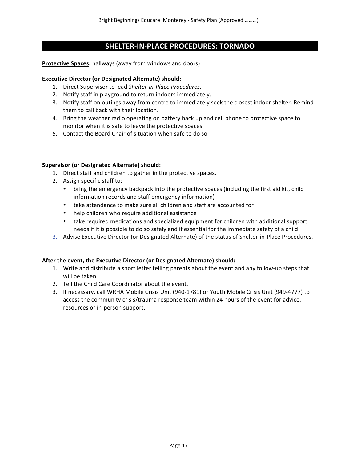# **SHELTER-IN-PLACE PROCEDURES: TORNADO**

#### **Protective Spaces:** hallways (away from windows and doors)

#### **Executive Director (or Designated Alternate) should:**

- 1. Direct Supervisor to lead Shelter-in-Place Procedures.
- 2. Notify staff in playground to return indoors immediately.
- 3. Notify staff on outings away from centre to immediately seek the closest indoor shelter. Remind them to call back with their location.
- 4. Bring the weather radio operating on battery back up and cell phone to protective space to monitor when it is safe to leave the protective spaces.
- 5. Contact the Board Chair of situation when safe to do so

#### **Supervisor (or Designated Alternate) should:**

- 1. Direct staff and children to gather in the protective spaces.
- 2. Assign specific staff to:
	- bring the emergency backpack into the protective spaces (including the first aid kit, child information records and staff emergency information)
	- take attendance to make sure all children and staff are accounted for
	- help children who require additional assistance
	- take required medications and specialized equipment for children with additional support needs if it is possible to do so safely and if essential for the immediate safety of a child
- 3. Advise Executive Director (or Designated Alternate) of the status of Shelter-in-Place Procedures.

## After the event, the Executive Director (or Designated Alternate) should:

- 1. Write and distribute a short letter telling parents about the event and any follow-up steps that will be taken.
- 2. Tell the Child Care Coordinator about the event.
- 3. If necessary, call WRHA Mobile Crisis Unit (940-1781) or Youth Mobile Crisis Unit (949-4777) to access the community crisis/trauma response team within 24 hours of the event for advice, resources or in-person support.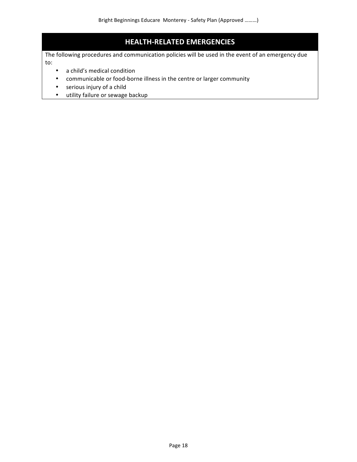# **HEALTH-RELATED EMERGENCIES**

The following procedures and communication policies will be used in the event of an emergency due to: 

- a child's medical condition
- communicable or food-borne illness in the centre or larger community
- serious injury of a child
- utility failure or sewage backup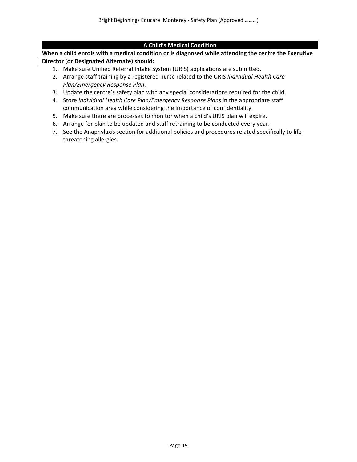## **A Child's Medical Condition**

When a child enrols with a medical condition or is diagnosed while attending the centre the Executive **Director (or Designated Alternate) should:**

- 1. Make sure Unified Referral Intake System (URIS) applications are submitted.
- 2. Arrange staff training by a registered nurse related to the URIS *Individual Health Care Plan/Emergency Response Plan*.
- 3. Update the centre's safety plan with any special considerations required for the child.
- 4. Store *Individual Health Care Plan/Emergency Response Plans* in the appropriate staff communication area while considering the importance of confidentiality.
- 5. Make sure there are processes to monitor when a child's URIS plan will expire.
- 6. Arrange for plan to be updated and staff retraining to be conducted every year.
- 7. See the Anaphylaxis section for additional policies and procedures related specifically to lifethreatening allergies.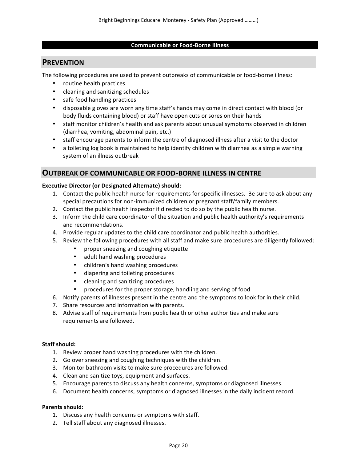## **Communicable or Food-Borne Illness**

# **PREVENTION**

The following procedures are used to prevent outbreaks of communicable or food-borne illness:

- routine health practices
- cleaning and sanitizing schedules
- safe food handling practices
- disposable gloves are worn any time staff's hands may come in direct contact with blood (or body fluids containing blood) or staff have open cuts or sores on their hands
- staff monitor children's health and ask parents about unusual symptoms observed in children (diarrhea, vomiting, abdominal pain, etc.)
- staff encourage parents to inform the centre of diagnosed illness after a visit to the doctor
- a toileting log book is maintained to help identify children with diarrhea as a simple warning system of an illness outbreak

## **OUTBREAK OF COMMUNICABLE OR FOOD-BORNE ILLNESS IN CENTRE**

#### **Executive Director (or Designated Alternate) should:**

- 1. Contact the public health nurse for requirements for specific illnesses. Be sure to ask about any special precautions for non-immunized children or pregnant staff/family members.
- 2. Contact the public health inspector if directed to do so by the public health nurse.
- 3. Inform the child care coordinator of the situation and public health authority's requirements and recommendations.
- 4. Provide regular updates to the child care coordinator and public health authorities.
- 5. Review the following procedures with all staff and make sure procedures are diligently followed:
	- proper sneezing and coughing etiquette
	- adult hand washing procedures
	- children's hand washing procedures
	- diapering and toileting procedures
	- cleaning and sanitizing procedures
	- procedures for the proper storage, handling and serving of food
- 6. Notify parents of illnesses present in the centre and the symptoms to look for in their child.
- 7. Share resources and information with parents.
- 8. Advise staff of requirements from public health or other authorities and make sure requirements are followed.

## **Staff should:**

- 1. Review proper hand washing procedures with the children.
- 2. Go over sneezing and coughing techniques with the children.
- 3. Monitor bathroom visits to make sure procedures are followed.
- 4. Clean and sanitize toys, equipment and surfaces.
- 5. Encourage parents to discuss any health concerns, symptoms or diagnosed illnesses.
- 6. Document health concerns, symptoms or diagnosed illnesses in the daily incident record.

## **Parents should:**

- 1. Discuss any health concerns or symptoms with staff.
- 2. Tell staff about any diagnosed illnesses.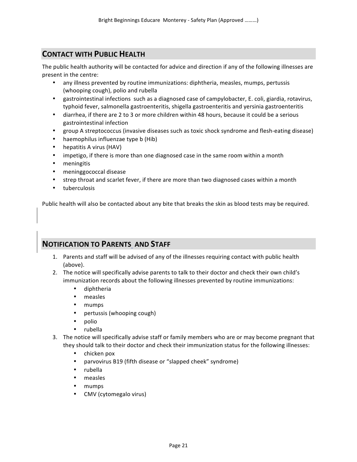# **CONTACT WITH PUBLIC HEALTH**

The public health authority will be contacted for advice and direction if any of the following illnesses are present in the centre:

- any illness prevented by routine immunizations: diphtheria, measles, mumps, pertussis (whooping cough), polio and rubella
- gastrointestinal infections such as a diagnosed case of campylobacter, E. coli, giardia, rotavirus, typhoid fever, salmonella gastroenteritis, shigella gastroenteritis and yersinia gastroenteritis
- diarrhea, if there are 2 to 3 or more children within 48 hours, because it could be a serious gastrointestinal infection
- group A streptococcus (invasive diseases such as toxic shock syndrome and flesh-eating disease)
- haemophilus influenzae type b (Hib)
- hepatitis A virus (HAV)
- impetigo, if there is more than one diagnosed case in the same room within a month
- meningitis
- meninggococcal disease
- strep throat and scarlet fever, if there are more than two diagnosed cases within a month
- tuberculosis

Public health will also be contacted about any bite that breaks the skin as blood tests may be required.

## **NOTIFICATION TO PARENTS AND STAFF**

- 1. Parents and staff will be advised of any of the illnesses requiring contact with public health (above).
- 2. The notice will specifically advise parents to talk to their doctor and check their own child's immunization records about the following illnesses prevented by routine immunizations:
	- diphtheria
	- measles
	- mumps
	- pertussis (whooping cough)
	- polio
	- rubella
- 3. The notice will specifically advise staff or family members who are or may become pregnant that they should talk to their doctor and check their immunization status for the following illnesses:
	- chicken pox
	- parvovirus B19 (fifth disease or "slapped cheek" syndrome)
	- rubella
	- measles
	- mumps
	- CMV (cytomegalo virus)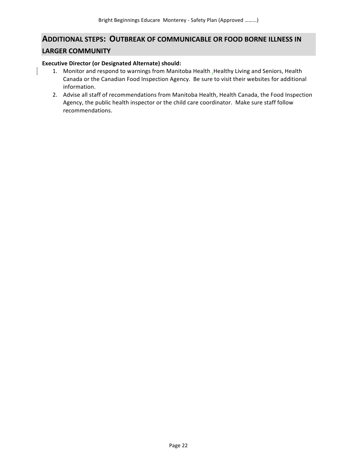# **ADDITIONAL STEPS: OUTBREAK OF COMMUNICABLE OR FOOD BORNE ILLNESS IN LARGER COMMUNITY**

#### **Executive Director (or Designated Alternate) should:**

- 1. Monitor and respond to warnings from Manitoba Health, Healthy Living and Seniors, Health Canada or the Canadian Food Inspection Agency. Be sure to visit their websites for additional information.
- 2. Advise all staff of recommendations from Manitoba Health, Health Canada, the Food Inspection Agency, the public health inspector or the child care coordinator. Make sure staff follow recommendations.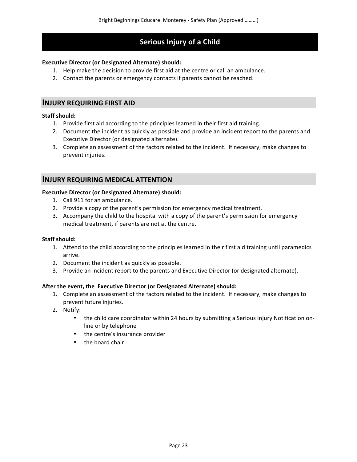# **Serious Injury of a Child**

## **Executive Director (or Designated Alternate) should:**

- 1. Help make the decision to provide first aid at the centre or call an ambulance.
- 2. Contact the parents or emergency contacts if parents cannot be reached.

## **INJURY REQUIRING FIRST AID**

## **Staff should:**

- 1. Provide first aid according to the principles learned in their first aid training.
- 2. Document the incident as quickly as possible and provide an incident report to the parents and Executive Director (or designated alternate).
- 3. Complete an assessment of the factors related to the incident. If necessary, make changes to prevent injuries.

## **INJURY REQUIRING MEDICAL ATTENTION**

## **Executive Director (or Designated Alternate) should:**

- 1. Call 911 for an ambulance.
- 2. Provide a copy of the parent's permission for emergency medical treatment.
- 3. Accompany the child to the hospital with a copy of the parent's permission for emergency medical treatment, if parents are not at the centre.

## **Staff should:**

- 1. Attend to the child according to the principles learned in their first aid training until paramedics arrive.
- 2. Document the incident as quickly as possible.
- 3. Provide an incident report to the parents and Executive Director (or designated alternate).

## **After the event, the Executive Director (or Designated Alternate) should:**

- 1. Complete an assessment of the factors related to the incident. If necessary, make changes to prevent future injuries.
- 2. Notify:
	- the child care coordinator within 24 hours by submitting a Serious Injury Notification online or by telephone
	- the centre's insurance provider
	- $\bullet$  the board chair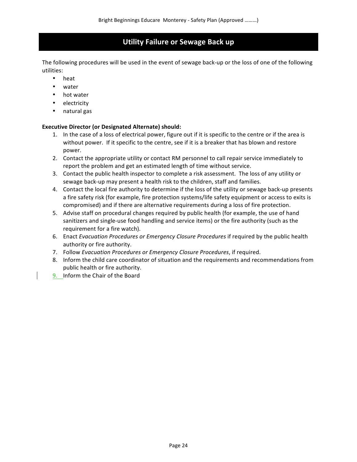# **Utility Failure or Sewage Back up**

The following procedures will be used in the event of sewage back-up or the loss of one of the following utilities:

- heat
- water
- hot water
- electricity
- natural gas

## **Executive Director (or Designated Alternate) should:**

- 1. In the case of a loss of electrical power, figure out if it is specific to the centre or if the area is without power. If it specific to the centre, see if it is a breaker that has blown and restore power.
- 2. Contact the appropriate utility or contact RM personnel to call repair service immediately to report the problem and get an estimated length of time without service.
- 3. Contact the public health inspector to complete a risk assessment. The loss of any utility or sewage back-up may present a health risk to the children, staff and families.
- 4. Contact the local fire authority to determine if the loss of the utility or sewage back-up presents a fire safety risk (for example, fire protection systems/life safety equipment or access to exits is compromised) and if there are alternative requirements during a loss of fire protection.
- 5. Advise staff on procedural changes required by public health (for example, the use of hand sanitizers and single-use food handling and service items) or the fire authority (such as the requirement for a fire watch).
- 6. Enact *Evacuation Procedures or Emergency Closure Procedures* if required by the public health authority or fire authority.
- 7. Follow *Evacuation Procedures or Emergency Closure Procedures*, if required.
- 8. Inform the child care coordinator of situation and the requirements and recommendations from public health or fire authority.
- 9. Inform the Chair of the Board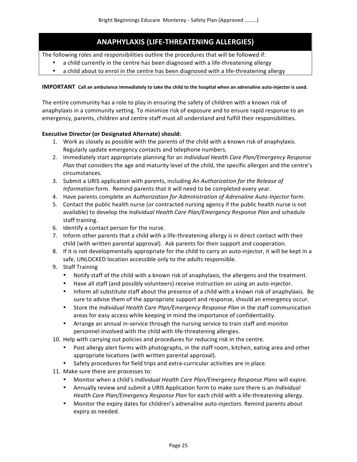# **ANAPHYLAXIS (LIFE-THREATENING ALLERGIES)**

The following roles and responsibilities outline the procedures that will be followed if:

- a child currently in the centre has been diagnosed with a life-threatening allergy
- a child about to enrol in the centre has been diagnosed with a life-threatening allergy

#### **IMPORTANT** Call an ambulance immediately to take the child to the hospital when an adrenaline auto-injector is used.

The entire community has a role to play in ensuring the safety of children with a known risk of anaphylaxis in a community setting. To minimize risk of exposure and to ensure rapid response to an emergency, parents, children and centre staff must all understand and fulfill their responsibilities.

## **Executive Director (or Designated Alternate) should:**

- 1. Work as closely as possible with the parents of the child with a known risk of anaphylaxis. Regularly update emergency contacts and telephone numbers.
- 2. Immediately start appropriate planning for an *Individual Health Care Plan/Emergency Response Plan* that considers the age and maturity level of the child, the specific allergen and the centre's circumstances.
- 3. Submit a URIS application with parents, including An Authorization for the Release of *Information* form. Remind parents that it will need to be completed every year.
- 4. Have parents complete an *Authorization for Administration of Adrenaline Auto-Injector* form.
- 5. Contact the public health nurse (or contracted nursing agency if the public health nurse is not available) to develop the *Individual Health Care Plan/Emergency Response Plan* and schedule staff training.
- 6. Identify a contact person for the nurse.
- 7. Inform other parents that a child with a life-threatening allergy is in direct contact with their child (with written parental approval). Ask parents for their support and cooperation.
- 8. If it is not developmentally appropriate for the child to carry an auto-injector, it will be kept in a safe, UNLOCKED location accessible only to the adults responsible.
- 9. Staff Training
	- Notify staff of the child with a known risk of anaphylaxis, the allergens and the treatment.
	- Have all staff (and possibly volunteers) receive instruction on using an auto-injector.
	- Inform all substitute staff about the presence of a child with a known risk of anaphylaxis. Be sure to advise them of the appropriate support and response, should an emergency occur.
	- Store the *Individual Health Care Plan/Emergency Response Plan* in the staff communication areas for easy access while keeping in mind the importance of confidentiality.
	- Arrange an annual in-service through the nursing service to train staff and monitor personnel involved with the child with life-threatening allergies.
- 10. Help with carrying out policies and procedures for reducing risk in the centre.
	- Post allergy alert forms with photographs, in the staff room, kitchen, eating area and other appropriate locations (with written parental approval).
	- Safety procedures for field trips and extra-curricular activities are in place.
- 11. Make sure there are processes to:
	- Monitor when a child's *Individual Health Care Plan/Emergency Response Plans* will expire.
	- Annually review and submit a URIS Application form to make sure there is an *Individual Health Care Plan/Emergency Response Plan* for each child with a life-threatening allergy.
	- Monitor the expiry dates for children's adrenaline auto-injectors. Remind parents about expiry as needed.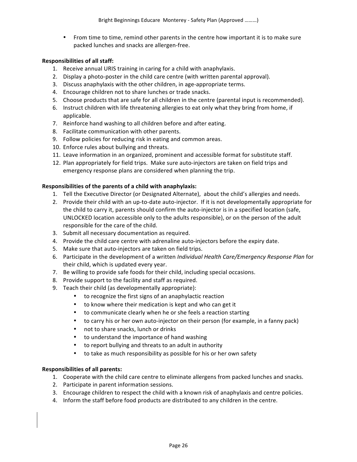• From time to time, remind other parents in the centre how important it is to make sure packed lunches and snacks are allergen-free.

## **Responsibilities of all staff:**

- 1. Receive annual URIS training in caring for a child with anaphylaxis.
- 2. Display a photo-poster in the child care centre (with written parental approval).
- 3. Discuss anaphylaxis with the other children, in age-appropriate terms.
- 4. Encourage children not to share lunches or trade snacks.
- 5. Choose products that are safe for all children in the centre (parental input is recommended).
- 6. Instruct children with life threatening allergies to eat only what they bring from home, if applicable.
- 7. Reinforce hand washing to all children before and after eating.
- 8. Facilitate communication with other parents.
- 9. Follow policies for reducing risk in eating and common areas.
- 10. Enforce rules about bullying and threats.
- 11. Leave information in an organized, prominent and accessible format for substitute staff.
- 12. Plan appropriately for field trips. Make sure auto-injectors are taken on field trips and emergency response plans are considered when planning the trip.

## **Responsibilities of the parents of a child with anaphylaxis:**

- 1. Tell the Executive Director (or Designated Alternate), about the child's allergies and needs.
- 2. Provide their child with an up-to-date auto-injector. If it is not developmentally appropriate for the child to carry it, parents should confirm the auto-injector is in a specified location (safe, UNLOCKED location accessible only to the adults responsible), or on the person of the adult responsible for the care of the child.
- 3. Submit all necessary documentation as required.
- 4. Provide the child care centre with adrenaline auto-injectors before the expiry date.
- 5. Make sure that auto-injectors are taken on field trips.
- 6. Participate in the development of a written *Individual Health Care/Emergency Response Plan* for their child, which is updated every year.
- 7. Be willing to provide safe foods for their child, including special occasions.
- 8. Provide support to the facility and staff as required.
- 9. Teach their child (as developmentally appropriate):
	- to recognize the first signs of an anaphylactic reaction
	- to know where their medication is kept and who can get it
	- to communicate clearly when he or she feels a reaction starting
	- to carry his or her own auto-injector on their person (for example, in a fanny pack)
	- not to share snacks, lunch or drinks
	- to understand the importance of hand washing
	- to report bullying and threats to an adult in authority
	- to take as much responsibility as possible for his or her own safety

## **Responsibilities of all parents:**

- 1. Cooperate with the child care centre to eliminate allergens from packed lunches and snacks.
- 2. Participate in parent information sessions.
- 3. Encourage children to respect the child with a known risk of anaphylaxis and centre policies.
- 4. Inform the staff before food products are distributed to any children in the centre.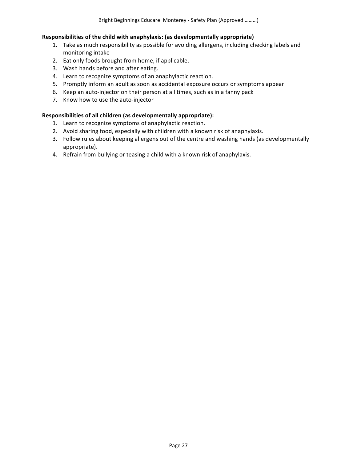#### **Responsibilities of the child with anaphylaxis: (as developmentally appropriate)**

- 1. Take as much responsibility as possible for avoiding allergens, including checking labels and monitoring intake
- 2. Eat only foods brought from home, if applicable.
- 3. Wash hands before and after eating.
- 4. Learn to recognize symptoms of an anaphylactic reaction.
- 5. Promptly inform an adult as soon as accidental exposure occurs or symptoms appear
- 6. Keep an auto-injector on their person at all times, such as in a fanny pack
- 7. Know how to use the auto-injector

#### Responsibilities of all children (as developmentally appropriate):

- 1. Learn to recognize symptoms of anaphylactic reaction.
- 2. Avoid sharing food, especially with children with a known risk of anaphylaxis.
- 3. Follow rules about keeping allergens out of the centre and washing hands (as developmentally appropriate).
- 4. Refrain from bullying or teasing a child with a known risk of anaphylaxis.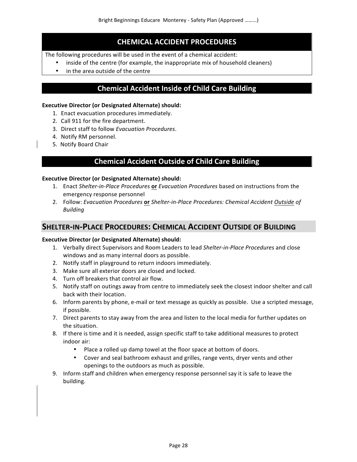# **CHEMICAL ACCIDENT PROCEDURES**

The following procedures will be used in the event of a chemical accident:

- inside of the centre (for example, the inappropriate mix of household cleaners)
- in the area outside of the centre

# **Chemical Accident Inside of Child Care Building**

#### **Executive Director (or Designated Alternate) should:**

- 1. Enact evacuation procedures immediately.
- 2. Call 911 for the fire department.
- 3. Direct staff to follow *Evacuation Procedures*.
- 4. Notify RM personnel.
- 5. Notify Board Chair

# **Chemical Accident Outside of Child Care Building**

## **Executive Director (or Designated Alternate) should:**

- 1. Enact Shelter-in-Place Procedures or *Evacuation Procedures* based on instructions from the emergency response personnel
- 2. Follow: *Evacuation Procedures* or *Shelter-in-Place Procedures: Chemical Accident Outside of Building*

## **SHELTER-IN-PLACE PROCEDURES: CHEMICAL ACCIDENT OUTSIDE OF BUILDING**

## **Executive Director (or Designated Alternate) should:**

- 1. Verbally direct Supervisors and Room Leaders to lead Shelter-in-Place Procedures and close windows and as many internal doors as possible.
- 2. Notify staff in playground to return indoors immediately.
- 3. Make sure all exterior doors are closed and locked.
- 4. Turn off breakers that control air flow.
- 5. Notify staff on outings away from centre to immediately seek the closest indoor shelter and call back with their location.
- 6. Inform parents by phone, e-mail or text message as quickly as possible. Use a scripted message, if possible.
- 7. Direct parents to stay away from the area and listen to the local media for further updates on the situation.
- 8. If there is time and it is needed, assign specific staff to take additional measures to protect indoor air:
	- Place a rolled up damp towel at the floor space at bottom of doors.
	- Cover and seal bathroom exhaust and grilles, range vents, dryer vents and other openings to the outdoors as much as possible.
- 9. Inform staff and children when emergency response personnel say it is safe to leave the building.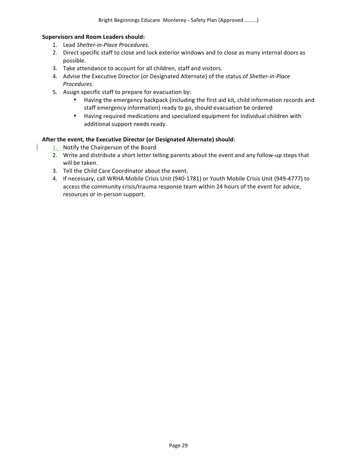#### **Supervisors and Room Leaders should:**

- 1. Lead *Shelter-in-Place Procedures*.
- 2. Direct specific staff to close and lock exterior windows and to close as many internal doors as possible.
- 3. Take attendance to account for all children, staff and visitors.
- 4. Advise the Executive Director (or Designated Alternate) of the status of Shelter-in-Place *Procedures*.
- 5. Assign specific staff to prepare for evacuation by:
	- Having the emergency backpack (including the first aid kit, child information records and staff emergency information) ready to go, should evacuation be ordered
	- Having required medications and specialized equipment for individual children with additional support needs ready.

## After the event, the Executive Director (or Designated Alternate) should:

- 1. Notify the Chairperson of the Board
- 2. Write and distribute a short letter telling parents about the event and any follow-up steps that will be taken.
- 3. Tell the Child Care Coordinator about the event.
- 4. If necessary, call WRHA Mobile Crisis Unit (940-1781) or Youth Mobile Crisis Unit (949-4777) to access the community crisis/trauma response team within 24 hours of the event for advice, resources or in-person support.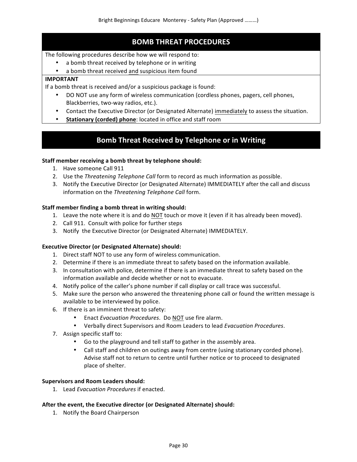# **BOMB THREAT PROCEDURES**

## The following procedures describe how we will respond to:

- a bomb threat received by telephone or in writing
- a bomb threat received and suspicious item found

## **IMPORTANT**

If a bomb threat is received and/or a suspicious package is found:

- DO NOT use any form of wireless communication (cordless phones, pagers, cell phones, Blackberries, two-way radios, etc.).
- Contact the Executive Director (or Designated Alternate) immediately to assess the situation.
- **Stationary (corded) phone:** located in office and staff room

# **Bomb Threat Received by Telephone or in Writing**

## Staff member receiving a bomb threat by telephone should:

- 1. Have someone Call 911
- 2. Use the *Threatening Telephone Call* form to record as much information as possible.
- 3. Notify the Executive Director (or Designated Alternate) IMMEDIATELY after the call and discuss information on the *Threatening Telephone Call* form.

## **Staff member finding a bomb threat in writing should:**

- 1. Leave the note where it is and do NOT touch or move it (even if it has already been moved).
- 2. Call 911. Consult with police for further steps
- 3. Notify the Executive Director (or Designated Alternate) IMMEDIATELY.

## **Executive Director (or Designated Alternate) should:**

- 1. Direct staff NOT to use any form of wireless communication.
- 2. Determine if there is an immediate threat to safety based on the information available.
- 3. In consultation with police, determine if there is an immediate threat to safety based on the information available and decide whether or not to evacuate.
- 4. Notify police of the caller's phone number if call display or call trace was successful.
- 5. Make sure the person who answered the threatening phone call or found the written message is available to be interviewed by police.
- 6. If there is an imminent threat to safety:
	- Enact *Evacuation Procedures*. Do NOT use fire alarm.
	- Verbally direct Supervisors and Room Leaders to lead *Evacuation Procedures*.
- 7. Assign specific staff to:
	- Go to the playground and tell staff to gather in the assembly area.
	- Call staff and children on outings away from centre (using stationary corded phone). Advise staff not to return to centre until further notice or to proceed to designated place of shelter.

## **Supervisors and Room Leaders should:**

1. Lead *Evacuation Procedures* if enacted.

## After the event, the Executive director (or Designated Alternate) should:

1. Notify the Board Chairperson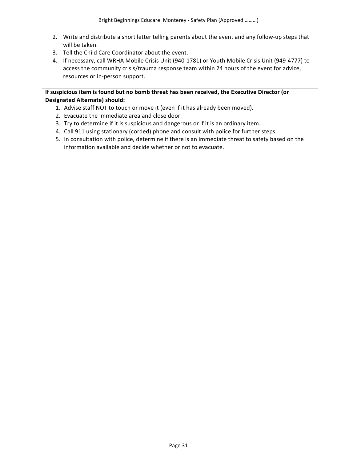- 2. Write and distribute a short letter telling parents about the event and any follow-up steps that will be taken.
- 3. Tell the Child Care Coordinator about the event.
- 4. If necessary, call WRHA Mobile Crisis Unit (940-1781) or Youth Mobile Crisis Unit (949-4777) to access the community crisis/trauma response team within 24 hours of the event for advice, resources or in-person support.

If suspicious item is found but no bomb threat has been received, the Executive Director (or **Designated Alternate) should:**

- 1. Advise staff NOT to touch or move it (even if it has already been moved).
- 2. Evacuate the immediate area and close door.
- 3. Try to determine if it is suspicious and dangerous or if it is an ordinary item.
- 4. Call 911 using stationary (corded) phone and consult with police for further steps.
- 5. In consultation with police, determine if there is an immediate threat to safety based on the information available and decide whether or not to evacuate.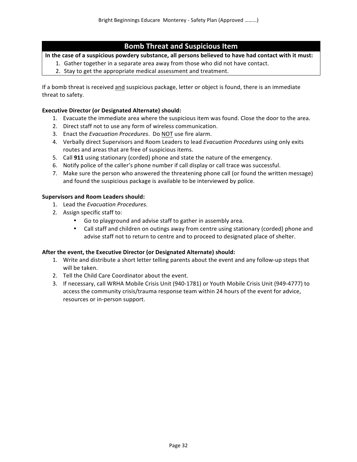# **Bomb Threat and Suspicious Item**

In the case of a suspicious powdery substance, all persons believed to have had contact with it must:

- 1. Gather together in a separate area away from those who did not have contact.
- 2. Stay to get the appropriate medical assessment and treatment.

If a bomb threat is received and suspicious package, letter or object is found, there is an immediate threat to safety.

## **Executive Director (or Designated Alternate) should:**

- 1. Evacuate the immediate area where the suspicious item was found. Close the door to the area.
- 2. Direct staff not to use any form of wireless communication.
- 3. Enact the *Evacuation Procedures*. Do NOT use fire alarm.
- 4. Verbally direct Supervisors and Room Leaders to lead *Evacuation Procedures* using only exits routes and areas that are free of suspicious items.
- 5. Call **911** using stationary (corded) phone and state the nature of the emergency.
- 6. Notify police of the caller's phone number if call display or call trace was successful.
- 7. Make sure the person who answered the threatening phone call (or found the written message) and found the suspicious package is available to be interviewed by police.

## **Supervisors and Room Leaders should:**

- 1. Lead the *Evacuation Procedures*.
- 2. Assign specific staff to:
	- Go to playground and advise staff to gather in assembly area.
	- Call staff and children on outings away from centre using stationary (corded) phone and advise staff not to return to centre and to proceed to designated place of shelter.

## After the event, the Executive Director (or Designated Alternate) should:

- 1. Write and distribute a short letter telling parents about the event and any follow-up steps that will be taken.
- 2. Tell the Child Care Coordinator about the event.
- 3. If necessary, call WRHA Mobile Crisis Unit (940-1781) or Youth Mobile Crisis Unit (949-4777) to access the community crisis/trauma response team within 24 hours of the event for advice, resources or in-person support.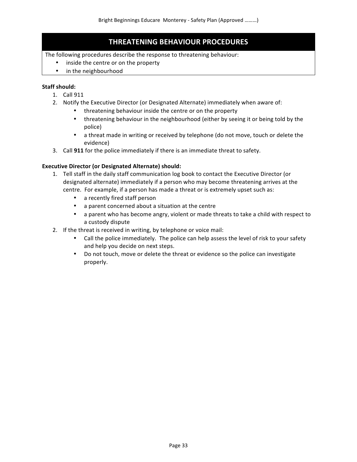# **THREATENING BEHAVIOUR PROCEDURES**

The following procedures describe the response to threatening behaviour:

- inside the centre or on the property
- in the neighbourhood

## **Staff should:**

- 1. Call 911
- 2. Notify the Executive Director (or Designated Alternate) immediately when aware of:
	- threatening behaviour inside the centre or on the property
	- threatening behaviour in the neighbourhood (either by seeing it or being told by the police)
	- a threat made in writing or received by telephone (do not move, touch or delete the evidence)
- 3. Call 911 for the police immediately if there is an immediate threat to safety.

## **Executive Director (or Designated Alternate) should:**

- 1. Tell staff in the daily staff communication log book to contact the Executive Director (or designated alternate) immediately if a person who may become threatening arrives at the centre. For example, if a person has made a threat or is extremely upset such as:
	- a recently fired staff person
	- a parent concerned about a situation at the centre
	- a parent who has become angry, violent or made threats to take a child with respect to a custody dispute
- 2. If the threat is received in writing, by telephone or voice mail:
	- Call the police immediately. The police can help assess the level of risk to your safety and help you decide on next steps.
	- Do not touch, move or delete the threat or evidence so the police can investigate properly.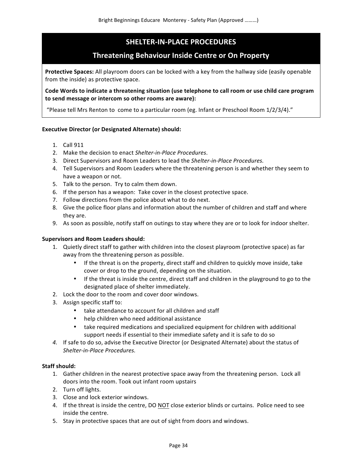# **SHELTER-IN-PLACE PROCEDURES**

# **Threatening Behaviour Inside Centre or On Property**

**Protective Spaces:** All playroom doors can be locked with a key from the hallway side (easily openable from the inside) as protective space.

Code Words to indicate a threatening situation (use telephone to call room or use child care program to send message or intercom so other rooms are aware):

"Please tell Mrs Renton to come to a particular room (eg. Infant or Preschool Room  $1/2/3/4$ )."

## **Executive Director (or Designated Alternate) should:**

- 1. Call 911
- 2. Make the decision to enact *Shelter-in-Place Procedures*.
- 3. Direct Supervisors and Room Leaders to lead the Shelter-in-Place Procedures.
- 4. Tell Supervisors and Room Leaders where the threatening person is and whether they seem to have a weapon or not.
- 5. Talk to the person. Try to calm them down.
- 6. If the person has a weapon: Take cover in the closest protective space.
- 7. Follow directions from the police about what to do next.
- 8. Give the police floor plans and information about the number of children and staff and where they are.
- 9. As soon as possible, notify staff on outings to stay where they are or to look for indoor shelter.

## **Supervisors and Room Leaders should:**

- 1. Quietly direct staff to gather with children into the closest playroom (protective space) as far away from the threatening person as possible.
	- If the threat is on the property, direct staff and children to quickly move inside, take cover or drop to the ground, depending on the situation.
	- If the threat is inside the centre, direct staff and children in the playground to go to the designated place of shelter immediately.
- 2. Lock the door to the room and cover door windows.
- 3. Assign specific staff to:
	- take attendance to account for all children and staff
	- help children who need additional assistance
	- take required medications and specialized equipment for children with additional support needs if essential to their immediate safety and it is safe to do so
- 4. If safe to do so, advise the Executive Director (or Designated Alternate) about the status of *Shelter-in-Place Procedures.*

## **Staff should:**

- 1. Gather children in the nearest protective space away from the threatening person. Lock all doors into the room. Took out infant room upstairs
- 2. Turn off lights.
- 3. Close and lock exterior windows.
- 4. If the threat is inside the centre, DO NOT close exterior blinds or curtains. Police need to see inside the centre.
- 5. Stay in protective spaces that are out of sight from doors and windows.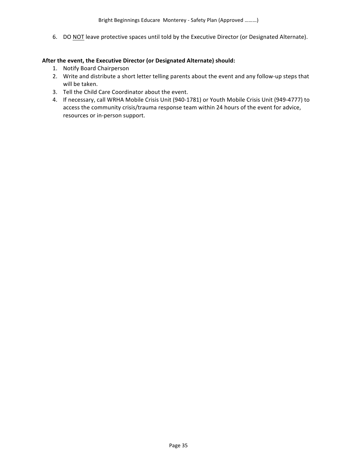6. DO NOT leave protective spaces until told by the Executive Director (or Designated Alternate).

#### After the event, the Executive Director (or Designated Alternate) should:

- 1. Notify Board Chairperson
- 2. Write and distribute a short letter telling parents about the event and any follow-up steps that will be taken.
- 3. Tell the Child Care Coordinator about the event.
- 4. If necessary, call WRHA Mobile Crisis Unit (940-1781) or Youth Mobile Crisis Unit (949-4777) to access the community crisis/trauma response team within 24 hours of the event for advice, resources or in-person support.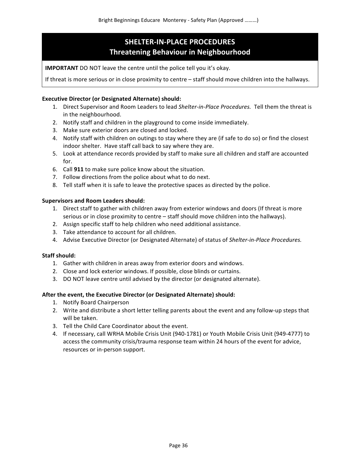# **SHELTER-IN-PLACE PROCEDURES Threatening Behaviour in Neighbourhood**

**IMPORTANT** DO NOT leave the centre until the police tell you it's okay.

If threat is more serious or in close proximity to centre – staff should move children into the hallways.

#### **Executive Director (or Designated Alternate) should:**

- 1. Direct Supervisor and Room Leaders to lead Shelter-in-Place Procedures. Tell them the threat is in the neighbourhood.
- 2. Notify staff and children in the playground to come inside immediately.
- 3. Make sure exterior doors are closed and locked.
- 4. Notify staff with children on outings to stay where they are (if safe to do so) or find the closest indoor shelter. Have staff call back to say where they are.
- 5. Look at attendance records provided by staff to make sure all children and staff are accounted for.
- 6. Call **911** to make sure police know about the situation.
- 7. Follow directions from the police about what to do next.
- 8. Tell staff when it is safe to leave the protective spaces as directed by the police.

#### **Supervisors and Room Leaders should:**

- 1. Direct staff to gather with children away from exterior windows and doors (If threat is more serious or in close proximity to centre – staff should move children into the hallways).
- 2. Assign specific staff to help children who need additional assistance.
- 3. Take attendance to account for all children.
- 4. Advise Executive Director (or Designated Alternate) of status of Shelter-in-Place Procedures.

#### **Staff should:**

- 1. Gather with children in areas away from exterior doors and windows.
- 2. Close and lock exterior windows. If possible, close blinds or curtains.
- 3. DO NOT leave centre until advised by the director (or designated alternate).

#### After the event, the Executive Director (or Designated Alternate) should:

- 1. Notify Board Chairperson
- 2. Write and distribute a short letter telling parents about the event and any follow-up steps that will be taken.
- 3. Tell the Child Care Coordinator about the event.
- 4. If necessary, call WRHA Mobile Crisis Unit (940-1781) or Youth Mobile Crisis Unit (949-4777) to access the community crisis/trauma response team within 24 hours of the event for advice, resources or in-person support.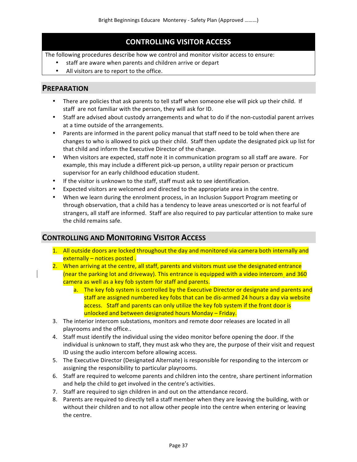# **CONTROLLING VISITOR ACCESS**

The following procedures describe how we control and monitor visitor access to ensure:

- staff are aware when parents and children arrive or depart
- All visitors are to report to the office.

## **PREPARATION**

- There are policies that ask parents to tell staff when someone else will pick up their child. If staff are not familiar with the person, they will ask for ID.
- Staff are advised about custody arrangements and what to do if the non-custodial parent arrives at a time outside of the arrangements.
- Parents are informed in the parent policy manual that staff need to be told when there are changes to who is allowed to pick up their child. Staff then update the designated pick up list for that child and inform the Executive Director of the change.
- When visitors are expected, staff note it in communication program so all staff are aware. For example, this may include a different pick-up person, a utility repair person or practicum supervisor for an early childhood education student.
- If the visitor is unknown to the staff, staff must ask to see identification.
- Expected visitors are welcomed and directed to the appropriate area in the centre.
- When we learn during the enrolment process, in an Inclusion Support Program meeting or through observation, that a child has a tendency to leave areas unescorted or is not fearful of strangers, all staff are informed. Staff are also required to pay particular attention to make sure the child remains safe.

# **CONTROLLING AND MONITORING VISITOR ACCESS**

- 1. All outside doors are locked throughout the day and monitored via camera both internally and  $externally - notices posted.$
- 2. When arriving at the centre, all staff, parents and visitors must use the designated entrance (near the parking lot and driveway). This entrance is equipped with a video intercom and 360 camera as well as a key fob system for staff and parents.
	- a. The key fob system is controlled by the Executive Director or designate and parents and staff are assigned numbered key fobs that can be dis-armed 24 hours a day via website access. Staff and parents can only utilize the key fob system if the front door is unlocked and between designated hours Monday – Friday.
- 3. The interior intercom substations, monitors and remote door releases are located in all playrooms and the office..
- 4. Staff must identify the individual using the video monitor before opening the door. If the individual is unknown to staff, they must ask who they are, the purpose of their visit and request ID using the audio intercom before allowing access.
- 5. The Executive Director (Designated Alternate) is responsible for responding to the intercom or assigning the responsibility to particular playrooms.
- 6. Staff are required to welcome parents and children into the centre, share pertinent information and help the child to get involved in the centre's activities.
- 7. Staff are required to sign children in and out on the attendance record.
- 8. Parents are required to directly tell a staff member when they are leaving the building, with or without their children and to not allow other people into the centre when entering or leaving the centre.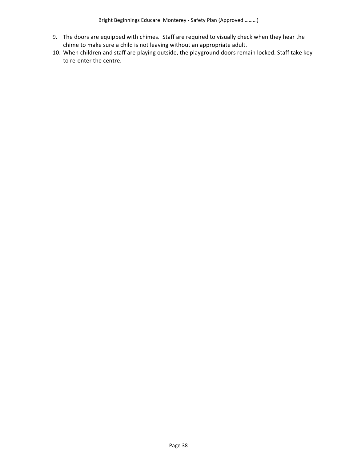- 9. The doors are equipped with chimes. Staff are required to visually check when they hear the chime to make sure a child is not leaving without an appropriate adult.
- 10. When children and staff are playing outside, the playground doors remain locked. Staff take key to re-enter the centre.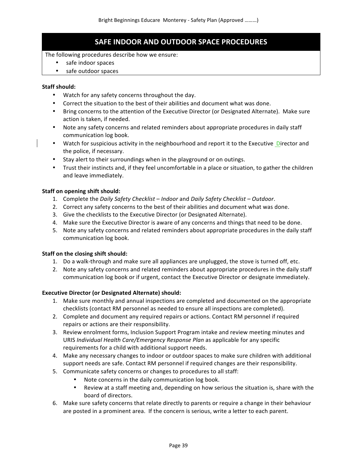# **SAFE INDOOR AND OUTDOOR SPACE PROCEDURES**

## The following procedures describe how we ensure:

- safe indoor spaces
- safe outdoor spaces

## **Staff should:**

- Watch for any safety concerns throughout the day.
- Correct the situation to the best of their abilities and document what was done.
- Bring concerns to the attention of the Executive Director (or Designated Alternate). Make sure action is taken, if needed.
- Note any safety concerns and related reminders about appropriate procedures in daily staff communication log book.
- Watch for suspicious activity in the neighbourhood and report it to the Executive Director and the police, if necessary.
- Stay alert to their surroundings when in the playground or on outings.
- Trust their instincts and, if they feel uncomfortable in a place or situation, to gather the children and leave immediately.

## **Staff on opening shift should:**

- 1. Complete the *Daily Safety Checklist Indoor* and *Daily Safety Checklist* Outdoor.
- 2. Correct any safety concerns to the best of their abilities and document what was done.
- 3. Give the checklists to the Executive Director (or Designated Alternate).
- 4. Make sure the Executive Director is aware of any concerns and things that need to be done.
- 5. Note any safety concerns and related reminders about appropriate procedures in the daily staff communication log book.

## **Staff on the closing shift should:**

- 1. Do a walk-through and make sure all appliances are unplugged, the stove is turned off, etc.
- 2. Note any safety concerns and related reminders about appropriate procedures in the daily staff communication log book or if urgent, contact the Executive Director or designate immediately.

## **Executive Director (or Designated Alternate) should:**

- 1. Make sure monthly and annual inspections are completed and documented on the appropriate checklists (contact RM personnel as needed to ensure all inspections are completed).
- 2. Complete and document any required repairs or actions. Contact RM personnel if required repairs or actions are their responsibility.
- 3. Review enrolment forms, Inclusion Support Program intake and review meeting minutes and URIS *Individual Health Care/Emergency Response Plan* as applicable for any specific requirements for a child with additional support needs.
- 4. Make any necessary changes to indoor or outdoor spaces to make sure children with additional support needs are safe. Contact RM personnel if required changes are their responsibility.
- 5. Communicate safety concerns or changes to procedures to all staff:
	- Note concerns in the daily communication log book.
	- Review at a staff meeting and, depending on how serious the situation is, share with the board of directors.
- 6. Make sure safety concerns that relate directly to parents or require a change in their behaviour are posted in a prominent area. If the concern is serious, write a letter to each parent.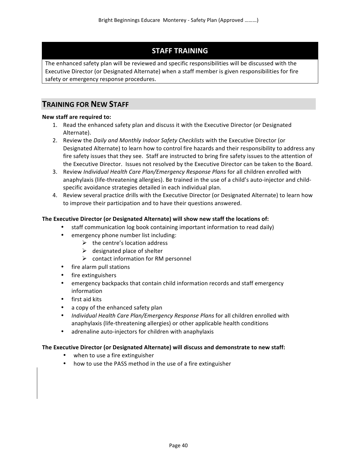# **STAFF TRAINING**

The enhanced safety plan will be reviewed and specific responsibilities will be discussed with the Executive Director (or Designated Alternate) when a staff member is given responsibilities for fire safety or emergency response procedures.

# **TRAINING FOR NEW STAFF**

## **New staff are required to:**

- 1. Read the enhanced safety plan and discuss it with the Executive Director (or Designated Alternate).
- 2. Review the *Daily and Monthly Indoor Safety Checklists* with the Executive Director (or Designated Alternate) to learn how to control fire hazards and their responsibility to address any fire safety issues that they see. Staff are instructed to bring fire safety issues to the attention of the Executive Director. Issues not resolved by the Executive Director can be taken to the Board.
- 3. Review *Individual Health Care Plan/Emergency Response Plans* for all children enrolled with anaphylaxis (life-threatening allergies). Be trained in the use of a child's auto-injector and childspecific avoidance strategies detailed in each individual plan.
- 4. Review several practice drills with the Executive Director (or Designated Alternate) to learn how to improve their participation and to have their questions answered.

## The Executive Director (or Designated Alternate) will show new staff the locations of:

- staff communication log book containing important information to read daily)
- emergency phone number list including:
	- $\triangleright$  the centre's location address
	- $\triangleright$  designated place of shelter
	- $\triangleright$  contact information for RM personnel
- fire alarm pull stations
- fire extinguishers
- emergency backpacks that contain child information records and staff emergency information
- first aid kits
- a copy of the enhanced safety plan
- *Individual Health Care Plan/Emergency Response Plans* for all children enrolled with anaphylaxis (life-threatening allergies) or other applicable health conditions
- adrenaline auto-injectors for children with anaphylaxis

## The Executive Director (or Designated Alternate) will discuss and demonstrate to new staff:

- when to use a fire extinguisher
- how to use the PASS method in the use of a fire extinguisher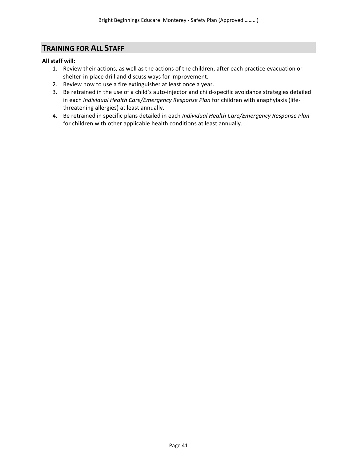## **TRAINING FOR ALL STAFF**

## **All staff will:**

- 1. Review their actions, as well as the actions of the children, after each practice evacuation or shelter-in-place drill and discuss ways for improvement.
- 2. Review how to use a fire extinguisher at least once a year.
- 3. Be retrained in the use of a child's auto-injector and child-specific avoidance strategies detailed in each *Individual Health Care/Emergency Response Plan* for children with anaphylaxis (lifethreatening allergies) at least annually.
- 4. Be retrained in specific plans detailed in each *Individual Health Care/Emergency Response Plan* for children with other applicable health conditions at least annually.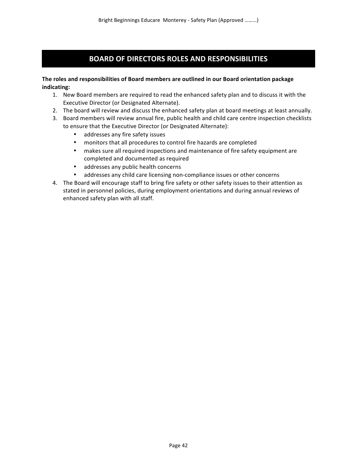# **BOARD OF DIRECTORS ROLES AND RESPONSIBILITIES**

## The roles and responsibilities of Board members are outlined in our Board orientation package **indicating:**

- 1. New Board members are required to read the enhanced safety plan and to discuss it with the Executive Director (or Designated Alternate).
- 2. The board will review and discuss the enhanced safety plan at board meetings at least annually.
- 3. Board members will review annual fire, public health and child care centre inspection checklists to ensure that the Executive Director (or Designated Alternate):
	- addresses any fire safety issues
	- monitors that all procedures to control fire hazards are completed
	- makes sure all required inspections and maintenance of fire safety equipment are completed and documented as required
	- addresses any public health concerns
	- addresses any child care licensing non-compliance issues or other concerns
- 4. The Board will encourage staff to bring fire safety or other safety issues to their attention as stated in personnel policies, during employment orientations and during annual reviews of enhanced safety plan with all staff.